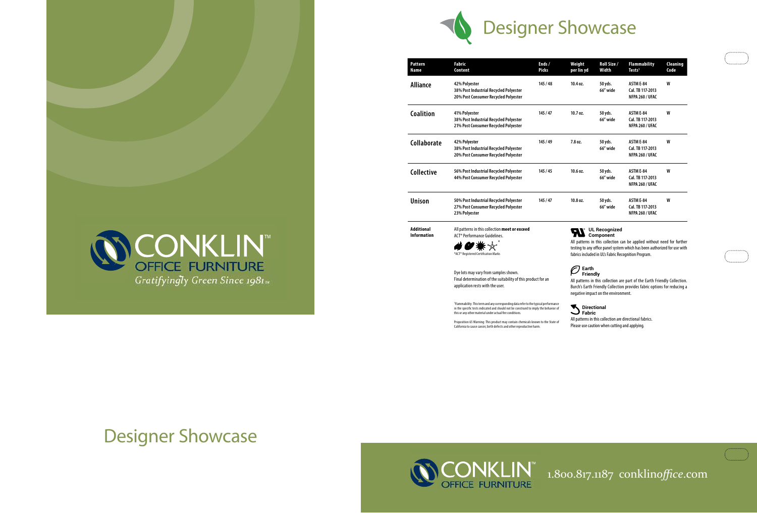1.800.817.1187 conklin*office*.com

| t<br>yd | Roll Size /<br>Width | <b>Flammability</b><br>Tests <sup>1</sup> | Cleaning<br>Code |
|---------|----------------------|-------------------------------------------|------------------|
|         | 50 yds.              | ASTM E-84                                 | W                |
|         | 66" wide             | Cal. TB 117-2013                          |                  |
|         |                      | NFPA 260 / UFAC                           |                  |
|         |                      |                                           |                  |
|         | 50 yds.              | <b>ASTM E-84</b>                          | W                |
|         | 66" wide             | Cal. TB 117-2013                          |                  |
|         |                      | NFPA 260 / UFAC                           |                  |
|         | 50 yds.              | <b>ASTM E-84</b>                          | W                |
|         | 66" wide             | Cal. TB 117-2013                          |                  |
|         |                      | NFPA 260 / UFAC                           |                  |
|         |                      |                                           |                  |
|         | 50 yds.              | <b>ASTM E-84</b>                          | W                |
|         | 66" wide             | Cal. TB 117-2013                          |                  |
|         |                      | NFPA 260 / UFAC                           |                  |
|         | 50 yds.              | ASTM E-84                                 | W                |
|         | 66" wide             | Cal. TB 117-2013                          |                  |
|         |                      | NFPA 260 / UFAC                           |                  |
|         |                      |                                           |                  |

| Pattern<br>Name                         | <b>Fabric</b><br>Content                                                                                                                                                                                                                             | Ends /<br><b>Picks</b>                   | Weight<br>per lin yd                                                                                                       | <b>Roll Siz</b><br>Width |
|-----------------------------------------|------------------------------------------------------------------------------------------------------------------------------------------------------------------------------------------------------------------------------------------------------|------------------------------------------|----------------------------------------------------------------------------------------------------------------------------|--------------------------|
| <b>Alliance</b>                         | 42% Polyester<br>38% Post Industrial Recycled Polyester<br>20% Post Consumer Recycled Polyester                                                                                                                                                      | 145/48                                   | 10.4 oz.                                                                                                                   | 50 yds.<br>66" wid       |
| <b>Coalition</b>                        | 41% Polyester<br>38% Post Industrial Recycled Polyester<br>21% Post Consumer Recycled Polyester                                                                                                                                                      | 145 / 47                                 | 10.7 oz.                                                                                                                   | 50 yds.<br>66″ wid       |
| Collaborate                             | 42% Polyester<br>38% Post Industrial Recycled Polyester<br>20% Post Consumer Recycled Polyester                                                                                                                                                      | 145 / 49                                 | 7.8 oz.                                                                                                                    | 50 yds.<br>66″ wid       |
| <b>Collective</b>                       | 56% Post Industrial Recycled Polyester<br>44% Post Consumer Recycled Polyester                                                                                                                                                                       | 145 / 45                                 | 10.6 oz.                                                                                                                   | 50 yds.<br>66″ wid       |
| <b>Unison</b>                           | 50% Post Industrial Recycled Polyester<br>27% Post Consumer Recycled Polyester<br>23% Polyester                                                                                                                                                      | 145 / 47                                 | 10.8 oz.                                                                                                                   | 50 yds.<br>66" wid       |
| <b>Additional</b><br><b>Information</b> | All patterns in this collection meet or exceed<br>ACT <sup>®</sup> Performance Guidelines.<br>*ACT® Registered Certification Marks                                                                                                                   |                                          | <b>UL Recogn</b><br>Componen<br>All patterns in this collec<br>testing to any office panel<br>fabrics included in UL's Fab |                          |
|                                         | Dye lots may vary from samples shown.<br>Final determination of the suitability of this product for an<br>application rests with the user.                                                                                                           |                                          | Earth<br><b>Friendly</b><br>All patterns in this collect<br>Burch's Earth Friendly Col<br>negative impact on the en        |                          |
|                                         | <sup>1</sup> Flammability: This term and any corresponding data refer to the typical performance<br>in the specific tests indicated and should not be construed to imply the behavior of<br>this or any other material under actual fire conditions. | Fabric<br>All nottorns in this sollostic | <b>Directional</b>                                                                                                         |                          |

Proposition 65 Warning: This product may contain chemicals known to the State of California to cause cancer, birth defects and other reproductive harm.

### **UL Recognized Component**

atterns in this collection can be applied without need for further g to any office panel system which has been authorized for use with s included in UL's Fabric Recognition Program.

## **Earth**

## **Friendly**

Itterns in this collection are part of the Earth Friendly Collection. 's Earth Friendly Collection provides fabric options for reducing a tive impact on the environment.

## **Directional**

All patterns in this collection are directional fabrics. Please use caution when cutting and applying.

an an S



**CONKLIN™**<br>OFFICE FURNITURE

Gratifyingly Green Since 1981<sub>w</sub>